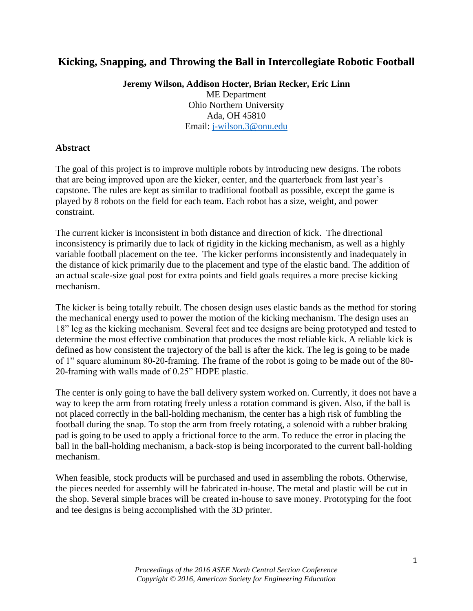# **Kicking, Snapping, and Throwing the Ball in Intercollegiate Robotic Football**

**Jeremy Wilson, Addison Hocter, Brian Recker, Eric Linn**

ME Department Ohio Northern University Ada, OH 45810 Email: [j-wilson.3@onu.edu](mailto:j-wilson.3@onu.edu)

### **Abstract**

The goal of this project is to improve multiple robots by introducing new designs. The robots that are being improved upon are the kicker, center, and the quarterback from last year's capstone. The rules are kept as similar to traditional football as possible, except the game is played by 8 robots on the field for each team. Each robot has a size, weight, and power constraint.

The current kicker is inconsistent in both distance and direction of kick. The directional inconsistency is primarily due to lack of rigidity in the kicking mechanism, as well as a highly variable football placement on the tee. The kicker performs inconsistently and inadequately in the distance of kick primarily due to the placement and type of the elastic band. The addition of an actual scale-size goal post for extra points and field goals requires a more precise kicking mechanism.

The kicker is being totally rebuilt. The chosen design uses elastic bands as the method for storing the mechanical energy used to power the motion of the kicking mechanism. The design uses an 18" leg as the kicking mechanism. Several feet and tee designs are being prototyped and tested to determine the most effective combination that produces the most reliable kick. A reliable kick is defined as how consistent the trajectory of the ball is after the kick. The leg is going to be made of 1" square aluminum 80-20-framing. The frame of the robot is going to be made out of the 80- 20-framing with walls made of 0.25" HDPE plastic.

The center is only going to have the ball delivery system worked on. Currently, it does not have a way to keep the arm from rotating freely unless a rotation command is given. Also, if the ball is not placed correctly in the ball-holding mechanism, the center has a high risk of fumbling the football during the snap. To stop the arm from freely rotating, a solenoid with a rubber braking pad is going to be used to apply a frictional force to the arm. To reduce the error in placing the ball in the ball-holding mechanism, a back-stop is being incorporated to the current ball-holding mechanism.

When feasible, stock products will be purchased and used in assembling the robots. Otherwise, the pieces needed for assembly will be fabricated in-house. The metal and plastic will be cut in the shop. Several simple braces will be created in-house to save money. Prototyping for the foot and tee designs is being accomplished with the 3D printer.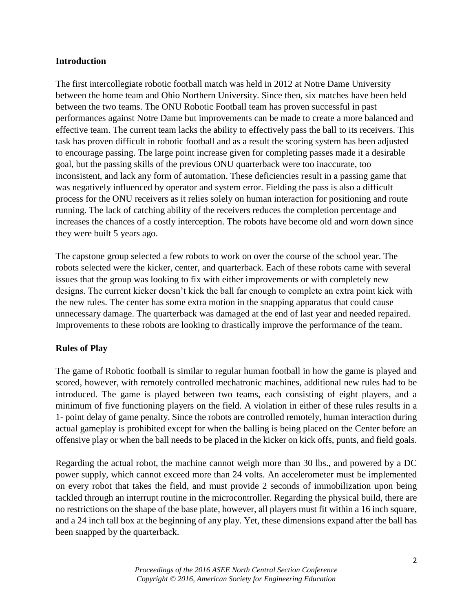### **Introduction**

The first intercollegiate robotic football match was held in 2012 at Notre Dame University between the home team and Ohio Northern University. Since then, six matches have been held between the two teams. The ONU Robotic Football team has proven successful in past performances against Notre Dame but improvements can be made to create a more balanced and effective team. The current team lacks the ability to effectively pass the ball to its receivers. This task has proven difficult in robotic football and as a result the scoring system has been adjusted to encourage passing. The large point increase given for completing passes made it a desirable goal, but the passing skills of the previous ONU quarterback were too inaccurate, too inconsistent, and lack any form of automation. These deficiencies result in a passing game that was negatively influenced by operator and system error. Fielding the pass is also a difficult process for the ONU receivers as it relies solely on human interaction for positioning and route running. The lack of catching ability of the receivers reduces the completion percentage and increases the chances of a costly interception. The robots have become old and worn down since they were built 5 years ago.

The capstone group selected a few robots to work on over the course of the school year. The robots selected were the kicker, center, and quarterback. Each of these robots came with several issues that the group was looking to fix with either improvements or with completely new designs. The current kicker doesn't kick the ball far enough to complete an extra point kick with the new rules. The center has some extra motion in the snapping apparatus that could cause unnecessary damage. The quarterback was damaged at the end of last year and needed repaired. Improvements to these robots are looking to drastically improve the performance of the team.

## **Rules of Play**

The game of Robotic football is similar to regular human football in how the game is played and scored, however, with remotely controlled mechatronic machines, additional new rules had to be introduced. The game is played between two teams, each consisting of eight players, and a minimum of five functioning players on the field. A violation in either of these rules results in a 1- point delay of game penalty. Since the robots are controlled remotely, human interaction during actual gameplay is prohibited except for when the balling is being placed on the Center before an offensive play or when the ball needs to be placed in the kicker on kick offs, punts, and field goals.

Regarding the actual robot, the machine cannot weigh more than 30 lbs., and powered by a DC power supply, which cannot exceed more than 24 volts. An accelerometer must be implemented on every robot that takes the field, and must provide 2 seconds of immobilization upon being tackled through an interrupt routine in the microcontroller. Regarding the physical build, there are no restrictions on the shape of the base plate, however, all players must fit within a 16 inch square, and a 24 inch tall box at the beginning of any play. Yet, these dimensions expand after the ball has been snapped by the quarterback.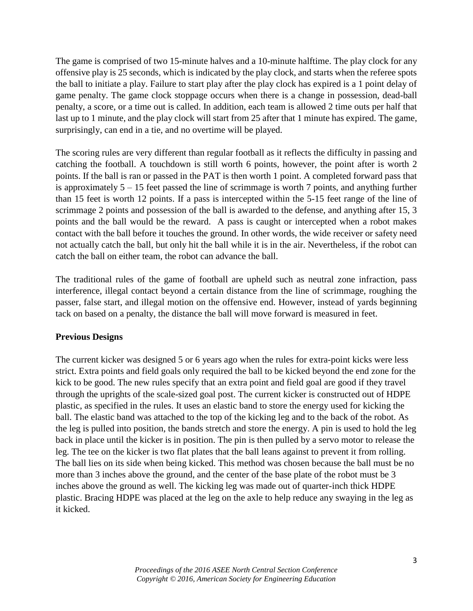The game is comprised of two 15-minute halves and a 10-minute halftime. The play clock for any offensive play is 25 seconds, which is indicated by the play clock, and starts when the referee spots the ball to initiate a play. Failure to start play after the play clock has expired is a 1 point delay of game penalty. The game clock stoppage occurs when there is a change in possession, dead-ball penalty, a score, or a time out is called. In addition, each team is allowed 2 time outs per half that last up to 1 minute, and the play clock will start from 25 after that 1 minute has expired. The game, surprisingly, can end in a tie, and no overtime will be played.

The scoring rules are very different than regular football as it reflects the difficulty in passing and catching the football. A touchdown is still worth 6 points, however, the point after is worth 2 points. If the ball is ran or passed in the PAT is then worth 1 point. A completed forward pass that is approximately  $5 - 15$  feet passed the line of scrimmage is worth 7 points, and anything further than 15 feet is worth 12 points. If a pass is intercepted within the 5-15 feet range of the line of scrimmage 2 points and possession of the ball is awarded to the defense, and anything after 15, 3 points and the ball would be the reward. A pass is caught or intercepted when a robot makes contact with the ball before it touches the ground. In other words, the wide receiver or safety need not actually catch the ball, but only hit the ball while it is in the air. Nevertheless, if the robot can catch the ball on either team, the robot can advance the ball.

The traditional rules of the game of football are upheld such as neutral zone infraction, pass interference, illegal contact beyond a certain distance from the line of scrimmage, roughing the passer, false start, and illegal motion on the offensive end. However, instead of yards beginning tack on based on a penalty, the distance the ball will move forward is measured in feet.

### **Previous Designs**

The current kicker was designed 5 or 6 years ago when the rules for extra-point kicks were less strict. Extra points and field goals only required the ball to be kicked beyond the end zone for the kick to be good. The new rules specify that an extra point and field goal are good if they travel through the uprights of the scale-sized goal post. The current kicker is constructed out of HDPE plastic, as specified in the rules. It uses an elastic band to store the energy used for kicking the ball. The elastic band was attached to the top of the kicking leg and to the back of the robot. As the leg is pulled into position, the bands stretch and store the energy. A pin is used to hold the leg back in place until the kicker is in position. The pin is then pulled by a servo motor to release the leg. The tee on the kicker is two flat plates that the ball leans against to prevent it from rolling. The ball lies on its side when being kicked. This method was chosen because the ball must be no more than 3 inches above the ground, and the center of the base plate of the robot must be 3 inches above the ground as well. The kicking leg was made out of quarter-inch thick HDPE plastic. Bracing HDPE was placed at the leg on the axle to help reduce any swaying in the leg as it kicked.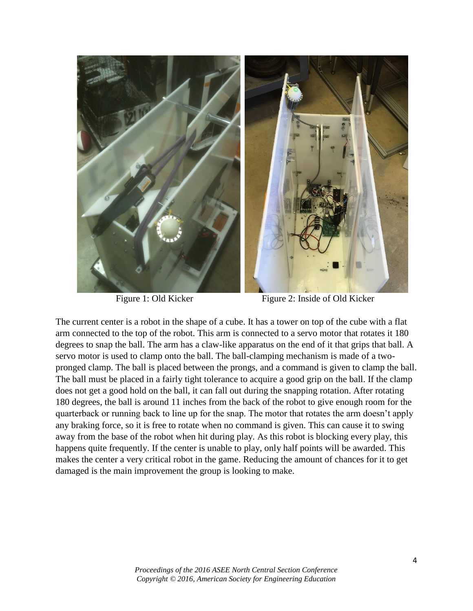

Figure 1: Old Kicker Figure 2: Inside of Old Kicker

The current center is a robot in the shape of a cube. It has a tower on top of the cube with a flat arm connected to the top of the robot. This arm is connected to a servo motor that rotates it 180 degrees to snap the ball. The arm has a claw-like apparatus on the end of it that grips that ball. A servo motor is used to clamp onto the ball. The ball-clamping mechanism is made of a twopronged clamp. The ball is placed between the prongs, and a command is given to clamp the ball. The ball must be placed in a fairly tight tolerance to acquire a good grip on the ball. If the clamp does not get a good hold on the ball, it can fall out during the snapping rotation. After rotating 180 degrees, the ball is around 11 inches from the back of the robot to give enough room for the quarterback or running back to line up for the snap. The motor that rotates the arm doesn't apply any braking force, so it is free to rotate when no command is given. This can cause it to swing away from the base of the robot when hit during play. As this robot is blocking every play, this happens quite frequently. If the center is unable to play, only half points will be awarded. This makes the center a very critical robot in the game. Reducing the amount of chances for it to get damaged is the main improvement the group is looking to make.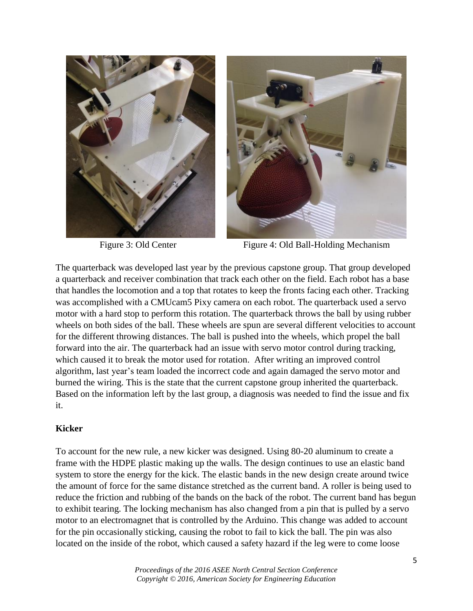



Figure 3: Old Center Figure 4: Old Ball-Holding Mechanism

The quarterback was developed last year by the previous capstone group. That group developed a quarterback and receiver combination that track each other on the field. Each robot has a base that handles the locomotion and a top that rotates to keep the fronts facing each other. Tracking was accomplished with a CMUcam5 Pixy camera on each robot. The quarterback used a servo motor with a hard stop to perform this rotation. The quarterback throws the ball by using rubber wheels on both sides of the ball. These wheels are spun are several different velocities to account for the different throwing distances. The ball is pushed into the wheels, which propel the ball forward into the air. The quarterback had an issue with servo motor control during tracking, which caused it to break the motor used for rotation. After writing an improved control algorithm, last year's team loaded the incorrect code and again damaged the servo motor and burned the wiring. This is the state that the current capstone group inherited the quarterback. Based on the information left by the last group, a diagnosis was needed to find the issue and fix it.

### **Kicker**

To account for the new rule, a new kicker was designed. Using 80-20 aluminum to create a frame with the HDPE plastic making up the walls. The design continues to use an elastic band system to store the energy for the kick. The elastic bands in the new design create around twice the amount of force for the same distance stretched as the current band. A roller is being used to reduce the friction and rubbing of the bands on the back of the robot. The current band has begun to exhibit tearing. The locking mechanism has also changed from a pin that is pulled by a servo motor to an electromagnet that is controlled by the Arduino. This change was added to account for the pin occasionally sticking, causing the robot to fail to kick the ball. The pin was also located on the inside of the robot, which caused a safety hazard if the leg were to come loose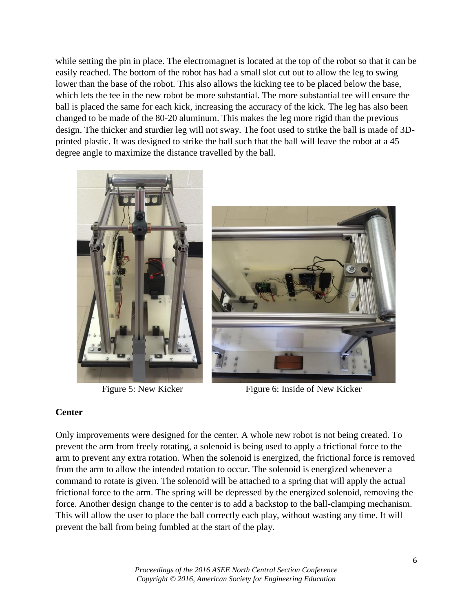while setting the pin in place. The electromagnet is located at the top of the robot so that it can be easily reached. The bottom of the robot has had a small slot cut out to allow the leg to swing lower than the base of the robot. This also allows the kicking tee to be placed below the base, which lets the tee in the new robot be more substantial. The more substantial tee will ensure the ball is placed the same for each kick, increasing the accuracy of the kick. The leg has also been changed to be made of the 80-20 aluminum. This makes the leg more rigid than the previous design. The thicker and sturdier leg will not sway. The foot used to strike the ball is made of 3Dprinted plastic. It was designed to strike the ball such that the ball will leave the robot at a 45 degree angle to maximize the distance travelled by the ball.





Figure 5: New Kicker Figure 6: Inside of New Kicker

## **Center**

Only improvements were designed for the center. A whole new robot is not being created. To prevent the arm from freely rotating, a solenoid is being used to apply a frictional force to the arm to prevent any extra rotation. When the solenoid is energized, the frictional force is removed from the arm to allow the intended rotation to occur. The solenoid is energized whenever a command to rotate is given. The solenoid will be attached to a spring that will apply the actual frictional force to the arm. The spring will be depressed by the energized solenoid, removing the force. Another design change to the center is to add a backstop to the ball-clamping mechanism. This will allow the user to place the ball correctly each play, without wasting any time. It will prevent the ball from being fumbled at the start of the play.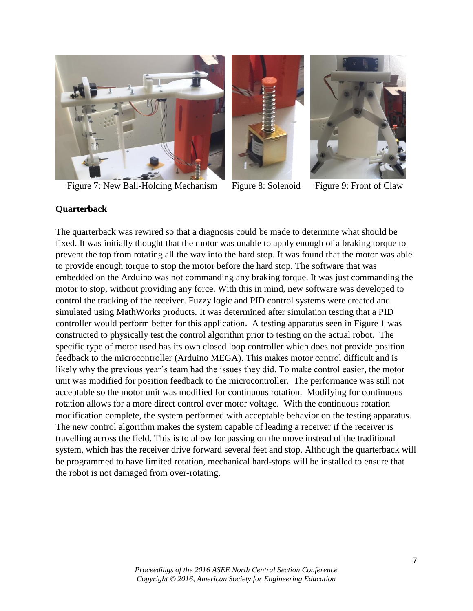

Figure 7: New Ball-Holding Mechanism Figure 8: Solenoid Figure 9: Front of Claw





## **Quarterback**

The quarterback was rewired so that a diagnosis could be made to determine what should be fixed. It was initially thought that the motor was unable to apply enough of a braking torque to prevent the top from rotating all the way into the hard stop. It was found that the motor was able to provide enough torque to stop the motor before the hard stop. The software that was embedded on the Arduino was not commanding any braking torque. It was just commanding the motor to stop, without providing any force. With this in mind, new software was developed to control the tracking of the receiver. Fuzzy logic and PID control systems were created and simulated using MathWorks products. It was determined after simulation testing that a PID controller would perform better for this application. A testing apparatus seen in Figure 1 was constructed to physically test the control algorithm prior to testing on the actual robot. The specific type of motor used has its own closed loop controller which does not provide position feedback to the microcontroller (Arduino MEGA). This makes motor control difficult and is likely why the previous year's team had the issues they did. To make control easier, the motor unit was modified for position feedback to the microcontroller. The performance was still not acceptable so the motor unit was modified for continuous rotation. Modifying for continuous rotation allows for a more direct control over motor voltage. With the continuous rotation modification complete, the system performed with acceptable behavior on the testing apparatus. The new control algorithm makes the system capable of leading a receiver if the receiver is travelling across the field. This is to allow for passing on the move instead of the traditional system, which has the receiver drive forward several feet and stop. Although the quarterback will be programmed to have limited rotation, mechanical hard-stops will be installed to ensure that the robot is not damaged from over-rotating.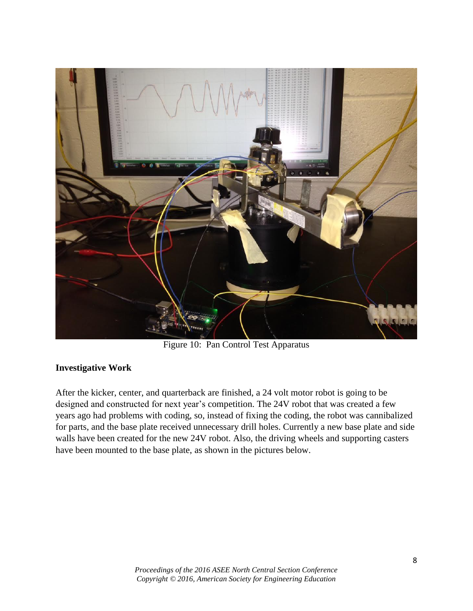

Figure 10: Pan Control Test Apparatus

## **Investigative Work**

After the kicker, center, and quarterback are finished, a 24 volt motor robot is going to be designed and constructed for next year's competition. The 24V robot that was created a few years ago had problems with coding, so, instead of fixing the coding, the robot was cannibalized for parts, and the base plate received unnecessary drill holes. Currently a new base plate and side walls have been created for the new 24V robot. Also, the driving wheels and supporting casters have been mounted to the base plate, as shown in the pictures below.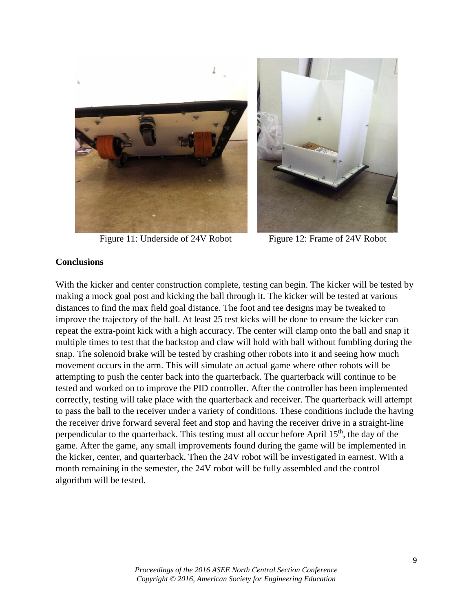

Figure 11: Underside of 24V Robot Figure 12: Frame of 24V Robot



### **Conclusions**

With the kicker and center construction complete, testing can begin. The kicker will be tested by making a mock goal post and kicking the ball through it. The kicker will be tested at various distances to find the max field goal distance. The foot and tee designs may be tweaked to improve the trajectory of the ball. At least 25 test kicks will be done to ensure the kicker can repeat the extra-point kick with a high accuracy. The center will clamp onto the ball and snap it multiple times to test that the backstop and claw will hold with ball without fumbling during the snap. The solenoid brake will be tested by crashing other robots into it and seeing how much movement occurs in the arm. This will simulate an actual game where other robots will be attempting to push the center back into the quarterback. The quarterback will continue to be tested and worked on to improve the PID controller. After the controller has been implemented correctly, testing will take place with the quarterback and receiver. The quarterback will attempt to pass the ball to the receiver under a variety of conditions. These conditions include the having the receiver drive forward several feet and stop and having the receiver drive in a straight-line perpendicular to the quarterback. This testing must all occur before April 15<sup>th</sup>, the day of the game. After the game, any small improvements found during the game will be implemented in the kicker, center, and quarterback. Then the 24V robot will be investigated in earnest. With a month remaining in the semester, the 24V robot will be fully assembled and the control algorithm will be tested.